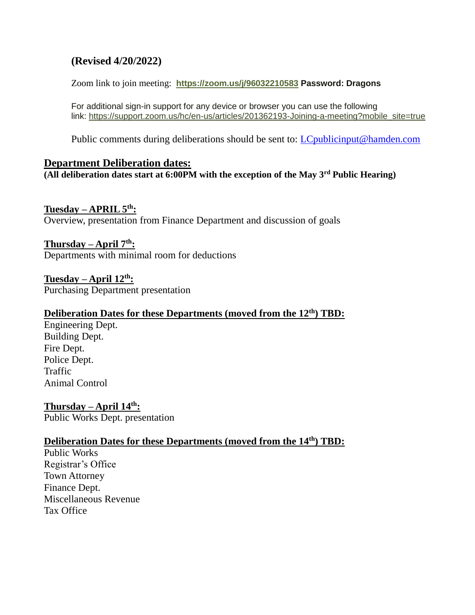# **(Revised 4/20/2022)**

Zoom link to join meeting: **<https://zoom.us/j/96032210583> Password: Dragons**

For additional sign-in support for any device or browser you can use the following link: [https://support.zoom.us/hc/en-us/articles/201362193-Joining-a-meeting?mobile\\_site=true](https://support.zoom.us/hc/en-us/articles/201362193-Joining-a-meeting?mobile_site=true)

Public comments during deliberations should be sent to: *LCpublicinput@hamden.com* 

#### **Department Deliberation dates:**

**(All deliberation dates start at 6:00PM with the exception of the May 3rd Public Hearing)**

#### **Tuesday – APRIL 5th:**

Overview, presentation from Finance Department and discussion of goals

#### **Thursday – April 7th:**

Departments with minimal room for deductions

**Tuesday – April 12th:** Purchasing Department presentation

#### **Deliberation Dates for these Departments (moved from the 12th) TBD:**

Engineering Dept. Building Dept. Fire Dept. Police Dept. Traffic Animal Control

**Thursday – April 14th:** Public Works Dept. presentation

# **Deliberation Dates for these Departments (moved from the 14th) TBD:**

Public Works Registrar's Office Town Attorney Finance Dept. Miscellaneous Revenue Tax Office